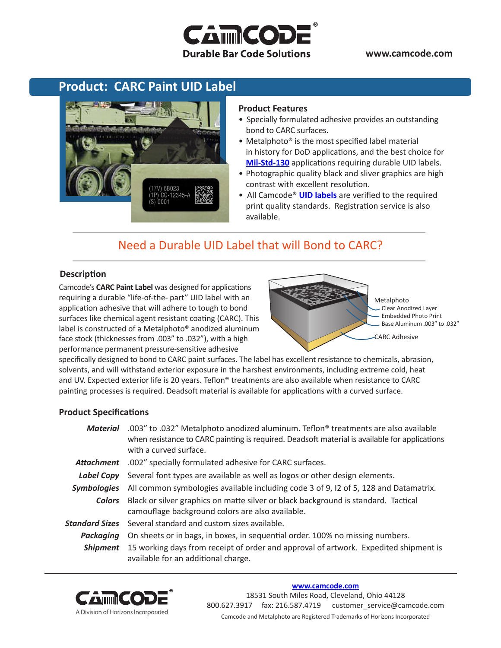### **www.camcode.com**

# **CAMMCOD Durable Bar Code Solutions**

### **Product: CARC Paint UID Label**



#### **Product Features**

- Specially formulated adhesive provides an outstanding bond to CARC surfaces.
- Metalphoto<sup>®</sup> is the most specified label material in history for DoD applications, and the best choice for **[Mil-Std-130](http://www.camcode.com/mil-std-130.html)** applications requiring durable UID labels.
- Photographic quality black and sliver graphics are high contrast with excellent resolution.
- All Camcode® **[UID labels](http://www.camcode.com/uid-labels.html)** are verified to the required print quality standards. Registration service is also available.

## Need a Durable UID Label that will Bond to CARC?

### **Description**

Camcode's **CARC Paint Label** was designed for applications requiring a durable "life-of-the- part" UID label with an application adhesive that will adhere to tough to bond surfaces like chemical agent resistant coating (CARC). This label is constructed of a Metalphoto® anodized aluminum face stock (thicknesses from .003" to .032"), with a high performance permanent pressure-sensitive adhesive



Metalphoto Clear Anodized Layer Embedded Photo Print Base Aluminum .003" to .032"

CARC Adhesive

specifically designed to bond to CARC paint surfaces. The label has excellent resistance to chemicals, abrasion, solvents, and will withstand exterior exposure in the harshest environments, including extreme cold, heat and UV. Expected exterior life is 20 years. Teflon® treatments are also available when resistance to CARC painting processes is required. Deadsoft material is available for applications with a curved surface.

### **Product Specifications**

| Material           | .003" to .032" Metalphoto anodized aluminum. Teflon <sup>®</sup> treatments are also available<br>when resistance to CARC painting is required. Deadsoft material is available for applications<br>with a curved surface. |  |  |  |  |
|--------------------|---------------------------------------------------------------------------------------------------------------------------------------------------------------------------------------------------------------------------|--|--|--|--|
| Attachment         | .002" specially formulated adhesive for CARC surfaces.                                                                                                                                                                    |  |  |  |  |
| Label Copy         | Several font types are available as well as logos or other design elements.                                                                                                                                               |  |  |  |  |
| <b>Symbologies</b> | All common symbologies available including code 3 of 9, I2 of 5, 128 and Datamatrix.                                                                                                                                      |  |  |  |  |
| <b>Colors</b>      | Black or silver graphics on matte silver or black background is standard. Tactical<br>camouflage background colors are also available.                                                                                    |  |  |  |  |
|                    | <b>Standard Sizes</b> Several standard and custom sizes available.                                                                                                                                                        |  |  |  |  |
| Packaging          | On sheets or in bags, in boxes, in sequential order. 100% no missing numbers.                                                                                                                                             |  |  |  |  |
| <b>Shipment</b>    | 15 working days from receipt of order and approval of artwork. Expedited shipment is<br>available for an additional charge.                                                                                               |  |  |  |  |



#### **[www.camcode.com](http://www.camcode.com)**

18531 South Miles Road, Cleveland, Ohio 44128 800.627.3917 fax: 216.587.4719 customer\_service@camcode.com Camcode and Metalphoto are Registered Trademarks of Horizons Incorporated